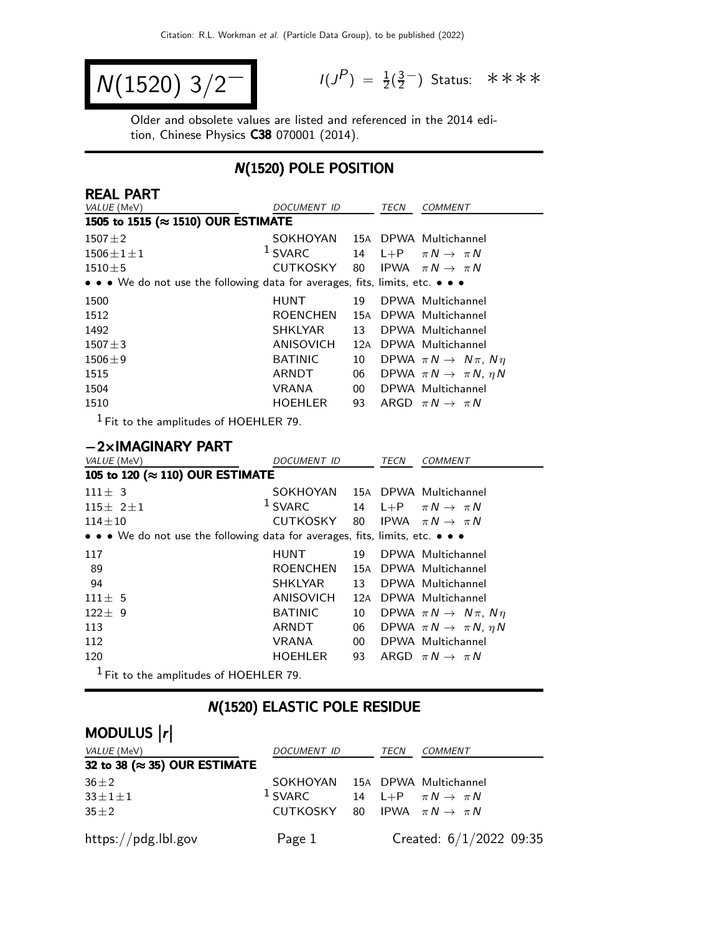$$
N(1520) 3/2^{-1}
$$

 $P$ ) =  $\frac{1}{2}(\frac{3}{2})$  $\frac{3}{2}$  Status: \*\*\*\*

Older and obsolete values are listed and referenced in the 2014 edition, Chinese Physics C38 070001 (2014).

#### N(1520) POLE POSITION

| <b>REAL PART</b>                                                              |                  |        |             |                                           |
|-------------------------------------------------------------------------------|------------------|--------|-------------|-------------------------------------------|
| VALUE (MeV)                                                                   | DOCUMENT ID      |        | TECN        | <b>COMMENT</b>                            |
| 1505 to 1515 (≈ 1510) OUR ESTIMATE                                            |                  |        |             |                                           |
| $1507 + 2$                                                                    | SOKHOYAN         |        |             | 15A DPWA Multichannel                     |
| $1506 \pm 1 \pm 1$                                                            | $1$ SVARC        | 14     | $L + P$     | $\pi N \rightarrow \pi N$                 |
| $1510 \pm 5$                                                                  | <b>CUTKOSKY</b>  | 80     |             | IPWA $\pi N \rightarrow \pi N$            |
| • • • We do not use the following data for averages, fits, limits, etc. • • • |                  |        |             |                                           |
| 1500                                                                          | <b>HUNT</b>      | 19     |             | DPWA Multichannel                         |
| 1512                                                                          | <b>ROENCHEN</b>  | 15A    |             | DPWA Multichannel                         |
| 1492                                                                          | <b>SHKLYAR</b>   | 13     |             | DPWA Multichannel                         |
| $1507 + 3$                                                                    | ANISOVICH        |        |             | 12A DPWA Multichannel                     |
| $1506 \pm 9$                                                                  | <b>BATINIC</b>   | 10     |             | DPWA $\pi N \rightarrow N \pi$ , $N \eta$ |
| 1515                                                                          | ARNDT            | 06     |             | DPWA $\pi N \rightarrow \pi N$ , $\eta N$ |
| 1504                                                                          | <b>VRANA</b>     | $00\,$ |             | DPWA Multichannel                         |
| 1510                                                                          | HOEHLER          | 93     |             | ARGD $\pi N \rightarrow \pi N$            |
| $^1$ Fit to the amplitudes of HOEHLER 79.                                     |                  |        |             |                                           |
|                                                                               |                  |        |             |                                           |
| $-2\times$ IMAGINARY PART                                                     |                  |        |             |                                           |
| VALUE (MeV)                                                                   | DOCUMENT ID      |        | <b>TECN</b> | <b>COMMENT</b>                            |
| 105 to 120 (≈ 110) OUR ESTIMATE                                               |                  |        |             |                                           |
| $111 \pm 3$                                                                   | SOKHOYAN         |        |             | 15A DPWA Multichannel                     |
| $115 \pm 2 \pm 1$                                                             | $1$ SVARC        | 14     | $L + P$     | $\pi N \rightarrow \pi N$                 |
| $114 \pm 10$                                                                  | <b>CUTKOSKY</b>  | 80     | <b>IPWA</b> | $\pi N \rightarrow \pi N$                 |
| • • • We do not use the following data for averages, fits, limits, etc. • • • |                  |        |             |                                           |
| 117                                                                           | <b>HUNT</b>      | 19     |             | DPWA Multichannel                         |
| 89                                                                            | <b>ROENCHEN</b>  |        |             | 15A DPWA Multichannel                     |
| 94                                                                            | <b>SHKLYAR</b>   | 13     |             | DPWA Multichannel                         |
| $111 \pm 5$                                                                   | <b>ANISOVICH</b> | 12A    |             | DPWA Multichannel                         |
| $122 \pm 9$                                                                   | <b>BATINIC</b>   | 10     |             | DPWA $\pi N \rightarrow N \pi$ , $N \eta$ |
| 113                                                                           | ARNDT            | 06     |             | DPWA $\pi N \rightarrow \pi N$ , $\eta N$ |
| 112                                                                           | <b>VRANA</b>     | $00\,$ |             | DPWA Multichannel                         |
| 120                                                                           | <b>HOEHLER</b>   | 93     |             | ARGD $\pi N \rightarrow \pi N$            |
| $^1$ Fit to the amplitudes of HOEHLER 79.                                     |                  |        |             |                                           |

## N(1520) ELASTIC POLE RESIDUE

# MODULUS  $\vert r \vert$

| VALUE (MeV)                           | DOCUMENT ID                                         | TECN | <i>COMMENT</i>            |
|---------------------------------------|-----------------------------------------------------|------|---------------------------|
| 32 to 38 ( $\approx$ 35) OUR ESTIMATE |                                                     |      |                           |
| $36 \pm 2$                            | SOKHOYAN 15A DPWA Multichannel                      |      |                           |
| $33 \pm 1 \pm 1$                      | <sup>1</sup> SVARC 14 L+P $\pi N \rightarrow \pi N$ |      |                           |
| $35 \pm 2$                            | CUTKOSKY 80 IPWA $\pi N \rightarrow \pi N$          |      |                           |
| https://pdg.lbl.gov                   | Page 1                                              |      | Created: $6/1/2022$ 09:35 |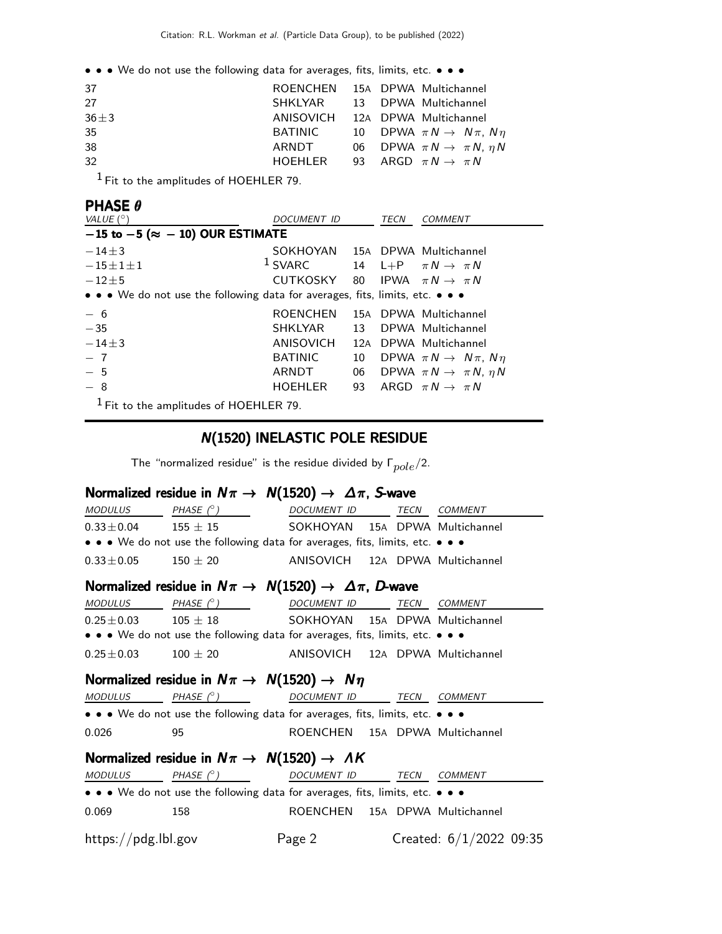• • • We do not use the following data for averages, fits, limits, etc. • • •

| 37         | ROENCHEN 15A DPWA Multichannel                       |  |                                              |
|------------|------------------------------------------------------|--|----------------------------------------------|
| 27         | SHKLYAR 13 DPWA Multichannel                         |  |                                              |
| $36 \pm 3$ | ANISOVICH 12A DPWA Multichannel                      |  |                                              |
| 35         | BATINIC 10 DPWA $\pi N \rightarrow N \pi$ , $N \eta$ |  |                                              |
| 38         | ARNDT                                                |  | 06 DPWA $\pi N \rightarrow \pi N$ , $\eta N$ |
| 32         | HOEHLER 93 ARGD $\pi N \rightarrow \pi N$            |  |                                              |
|            |                                                      |  |                                              |

1 Fit to the amplitudes of HOEHLER 79.

#### PHASE θ

| VALUE $(^\circ)$                                                              | DOCUMENT ID                                |     | TECN | <i>COMMENT</i>                            |
|-------------------------------------------------------------------------------|--------------------------------------------|-----|------|-------------------------------------------|
| $-15$ to $-5$ ( $\approx -10$ ) OUR ESTIMATE                                  |                                            |     |      |                                           |
| $-14\pm3$                                                                     | SOKHOYAN 15A DPWA Multichannel             |     |      |                                           |
| $-15\pm1\pm1$                                                                 | $1$ SVARC                                  |     |      | 14 L+P $\pi N \rightarrow \pi N$          |
| $-12\pm 5$                                                                    | CUTKOSKY 80 IPWA $\pi N \rightarrow \pi N$ |     |      |                                           |
| • • • We do not use the following data for averages, fits, limits, etc. • • • |                                            |     |      |                                           |
| $-6$                                                                          | <b>ROENCHEN</b>                            |     |      | 15A DPWA Multichannel                     |
| $-35$                                                                         | SHKLYAR                                    | 13  |      | DPWA Multichannel                         |
| $-14\pm3$                                                                     | ANISOVICH                                  | 12A |      | DPWA Multichannel                         |
| $-7$                                                                          | <b>BATINIC</b>                             | 10  |      | DPWA $\pi N \rightarrow N \pi$ , $N \eta$ |
| $-5$                                                                          | ARNDT                                      | 06  |      | DPWA $\pi N \rightarrow \pi N$ , $\eta N$ |
| $-8$                                                                          | HOEHLER                                    | 93  |      | ARGD $\pi N \rightarrow \pi N$            |
| $1$ Fit to the amplitudes of HOEHLER 79.                                      |                                            |     |      |                                           |

#### N(1520) INELASTIC POLE RESIDUE

The "normalized residue" is the residue divided by  $\Gamma_{pole}/2$ .

#### Normalized residue in  $N\pi \to N(1520) \to \Delta \pi$ , S-wave

| MODULUS PHASE $(^\circ)$ |                                                                               | DOCUMENT ID TECN COMMENT       |  |                           |
|--------------------------|-------------------------------------------------------------------------------|--------------------------------|--|---------------------------|
|                          | $0.33 \pm 0.04$ 155 $\pm$ 15 SOKHOYAN 15A DPWA Multichannel                   |                                |  |                           |
|                          | • • • We do not use the following data for averages, fits, limits, etc. • • • |                                |  |                           |
| $0.33 \pm 0.05$          |                                                                               |                                |  |                           |
|                          | Normalized residue in $N\pi \to N(1520) \to \Delta \pi$ , D-wave              |                                |  |                           |
|                          | $MODULUS PHASE \rho) DOCUMENT ID TECN COMMENT$                                |                                |  |                           |
|                          | $0.25 \pm 0.03$ $105 \pm 18$ SOKHOYAN 15A DPWA Multichannel                   |                                |  |                           |
|                          | • • • We do not use the following data for averages, fits, limits, etc. • • • |                                |  |                           |
|                          | $0.25 \pm 0.03$ 100 $\pm$ 20 ANISOVICH 12A DPWA Multichannel                  |                                |  |                           |
|                          | Normalized residue in $N\pi \rightarrow N(1520) \rightarrow N\eta$            |                                |  |                           |
| MODULUS                  | PHASE (°) DOCUMENT ID TECN COMMENT                                            |                                |  |                           |
|                          | • • • We do not use the following data for averages, fits, limits, etc. • • • |                                |  |                           |
| 0.026                    | 95                                                                            | ROENCHEN 15A DPWA Multichannel |  |                           |
|                          | Normalized residue in $N\pi \rightarrow N(1520) \rightarrow AK$               |                                |  |                           |
|                          | $\overline{MODULUS}$ PHASE $(^{\circ})$ DOCUMENT ID TECN COMMENT              |                                |  |                           |
|                          | • • • We do not use the following data for averages, fits, limits, etc. • • • |                                |  |                           |
| 0.069                    | 158                                                                           | ROENCHEN 15A DPWA Multichannel |  |                           |
| https://pdg.lbl.gov      |                                                                               | Page 2                         |  | Created: $6/1/2022$ 09:35 |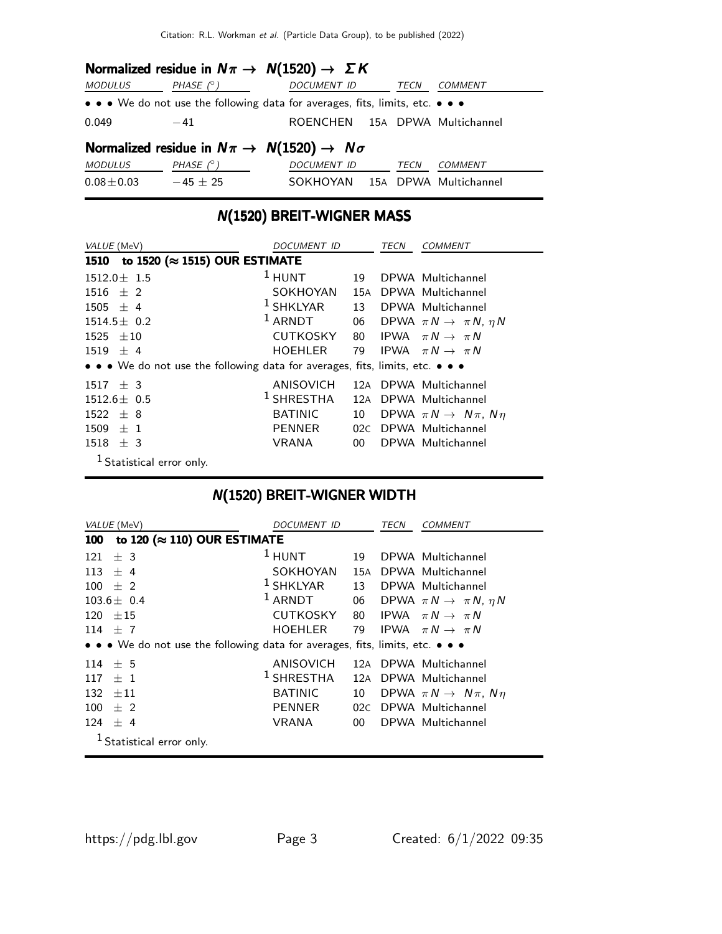| Normalized residue in $N\pi \to N(1520) \to \Sigma K$                |                  |                                                                               |  |  |  |  |
|----------------------------------------------------------------------|------------------|-------------------------------------------------------------------------------|--|--|--|--|
| MODULUS                                                              | PHASE (° )       | DOCUMENT ID<br><b>COMMENT</b><br>TECN                                         |  |  |  |  |
|                                                                      |                  | • • • We do not use the following data for averages, fits, limits, etc. • • • |  |  |  |  |
| 0.049                                                                | $-41$            | ROENCHEN 15A DPWA Multichannel                                                |  |  |  |  |
| Normalized residue in $N\pi \rightarrow N(1520) \rightarrow N\sigma$ |                  |                                                                               |  |  |  |  |
| MODULUS                                                              | PHASE $(^\circ)$ | DOCUMENT ID<br><b>TECN</b><br><b>COMMENT</b>                                  |  |  |  |  |
| $0.08 \pm 0.03$                                                      | $-45 \pm 25$     | SOKHOYAN 15A DPWA Multichannel                                                |  |  |  |  |

# N(1520) BREIT-WIGNER MASS

| VALUE (MeV)                                                                   | DOCUMENT ID     |                 | TECN | <i>COMMENT</i>                            |
|-------------------------------------------------------------------------------|-----------------|-----------------|------|-------------------------------------------|
| to 1520 ( $\approx$ 1515) OUR ESTIMATE<br>1510                                |                 |                 |      |                                           |
| $1512.0 \pm 1.5$                                                              | $1$ HUNT        | 19              |      | DPWA Multichannel                         |
| $1516 \pm 2$                                                                  | SOKHOYAN        | 15A             |      | DPWA Multichannel                         |
| $1505 \pm 4$                                                                  | $1$ SHKLYAR     | 13 <sup>7</sup> |      | DPWA Multichannel                         |
| $1514.5 \pm 0.2$                                                              | $1$ ARNDT       | 06              |      | DPWA $\pi N \rightarrow \pi N$ , $\eta N$ |
| 1525<br>$+10$                                                                 | <b>CUTKOSKY</b> | 80              |      | IPWA $\pi N \rightarrow \pi N$            |
| $1519 \pm 4$                                                                  | <b>HOEHLER</b>  | 79              |      | IPWA $\pi N \rightarrow \pi N$            |
| • • • We do not use the following data for averages, fits, limits, etc. • • • |                 |                 |      |                                           |
| $1517 + 3$                                                                    | ANISOVICH       |                 |      | 12A DPWA Multichannel                     |
| $1512.6 \pm 0.5$                                                              | $1$ SHRESTHA    | 12A             |      | DPWA Multichannel                         |
| $1522 \pm 8$                                                                  | <b>BATINIC</b>  | 10              |      | DPWA $\pi N \rightarrow N \pi$ , $N \eta$ |
| 1509<br>$+1$                                                                  | <b>PENNER</b>   | 02C             |      | DPWA Multichannel                         |
| 1518<br>$±$ 3                                                                 | <b>VRANA</b>    | 00 <sup>°</sup> |      | DPWA Multichannel                         |
| <sup>1</sup> Statistical error only.                                          |                 |                 |      |                                           |

# N(1520) BREIT-WIGNER WIDTH

| VALUE (MeV)                                                                   | DOCUMENT ID           |     | TECN | <b>COMMENT</b>                            |
|-------------------------------------------------------------------------------|-----------------------|-----|------|-------------------------------------------|
| to 120 ( $\approx$ 110) OUR ESTIMATE<br>100                                   |                       |     |      |                                           |
| ± 3<br>121                                                                    | $1$ HUNT              | 19  |      | DPWA Multichannel                         |
| 113 $\pm$ 4                                                                   | SOKHOYAN              | 15A |      | DPWA Multichannel                         |
| $100 \pm 2$                                                                   | $1$ SHKLYAR           | 13  |      | DPWA Multichannel                         |
| $103.6 \pm 0.4$                                                               | $1$ ARNDT             | 06  |      | DPWA $\pi N \rightarrow \pi N$ , $\eta N$ |
| $120 \pm 15$                                                                  | <b>CUTKOSKY</b>       | 80  |      | IPWA $\pi N \rightarrow \pi N$            |
| 114 $\pm$ 7                                                                   | HOEHLER               | 79  |      | IPWA $\pi N \rightarrow \pi N$            |
| • • • We do not use the following data for averages, fits, limits, etc. • • • |                       |     |      |                                           |
| $114 \pm 5$                                                                   | ANISOVICH             |     |      | 12A DPWA Multichannel                     |
| $+1$<br>117                                                                   | <sup>1</sup> SHRESTHA |     |      | 12A DPWA Multichannel                     |
| $132 + 11$                                                                    | <b>BATINIC</b>        | 10  |      | DPWA $\pi N \rightarrow N \pi$ , $N \eta$ |
| 100<br>$+2$                                                                   | <b>PENNER</b>         | 02C |      | DPWA Multichannel                         |
| $124 \pm 4$                                                                   | VRANA                 | 00  |      | DPWA Multichannel                         |
| Statistical error only.                                                       |                       |     |      |                                           |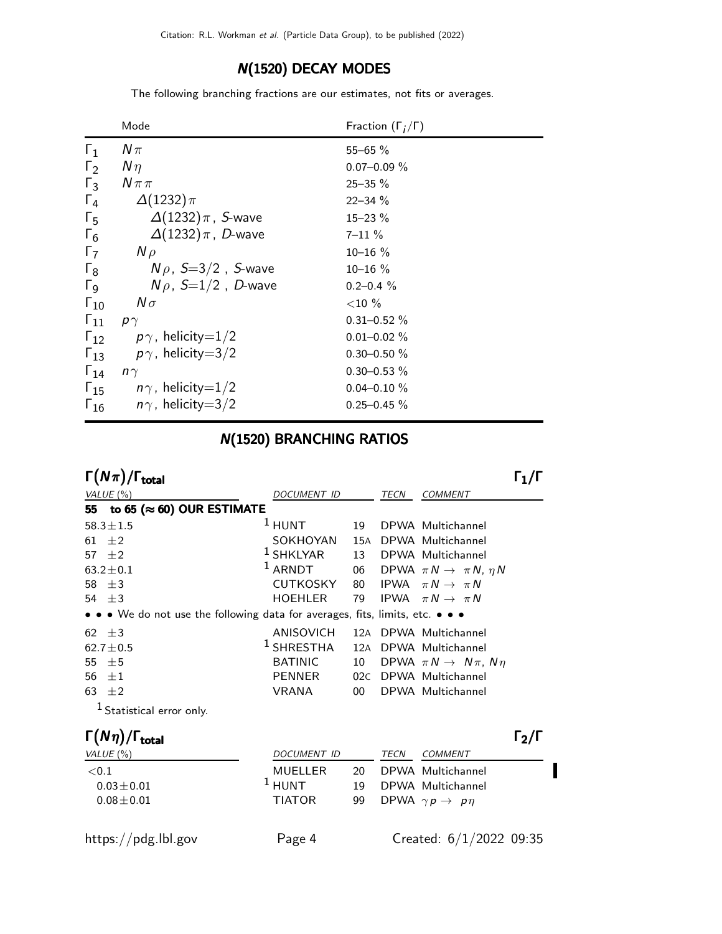#### N(1520) DECAY MODES

The following branching fractions are our estimates, not fits or averages.

|                       | Mode                        | Fraction $(\Gamma_i/\Gamma)$ |
|-----------------------|-----------------------------|------------------------------|
| $\Gamma_1$            | $N\pi$                      | $55 - 65 \%$                 |
| $\Gamma_2$            | $N\eta$                     | $0.07 - 0.09 \%$             |
| $\Gamma_3$            | $N \pi \pi$                 | $25 - 35 \%$                 |
| $\Gamma_4$            | $\Delta(1232)\pi$           | $22 - 34 \%$                 |
| $\Gamma_{5}$          | $\Delta(1232)\pi$ , S-wave  | $15 - 23 \%$                 |
| $\Gamma_6$            | $\Delta(1232)\pi$ , D-wave  | $7 - 11 \%$                  |
| $\Gamma_7$            | $N \rho$                    | $10 - 16 \%$                 |
| $\Gamma_8$            | $N\rho$ , S=3/2, S-wave     | $10 - 16 \%$                 |
| $\Gamma$ <sub>9</sub> | $N \rho$ , $S=1/2$ , D-wave | $0.2 - 0.4 \%$               |
| $\Gamma_{10}$         | $N\sigma$                   | ${<}10\%$                    |
| $\Gamma_{11}$         | $p\gamma$                   | $0.31 - 0.52 \%$             |
| $\Gamma_{12}$         | $p\gamma$ , helicity=1/2    | $0.01 - 0.02 \%$             |
| $\Gamma_{13}$         | $p\gamma$ , helicity=3/2    | $0.30 - 0.50 \%$             |
| $\Gamma_{14}$         | $n\gamma$                   | $0.30 - 0.53 \%$             |
| $\Gamma_{15}$         | $n\gamma$ , helicity=1/2    | $0.04 - 0.10 \%$             |
| $\Gamma_{16}$         | $n\gamma$ , helicity=3/2    | $0.25 - 0.45 \%$             |

# N(1520) BRANCHING RATIOS

| $\Gamma(N\pi)/\Gamma_{\rm total}$                                             |                    |     |      |                                           |  |
|-------------------------------------------------------------------------------|--------------------|-----|------|-------------------------------------------|--|
| VALUE $(\%)$                                                                  | <i>DOCUMENT ID</i> |     | TECN | COMMENT                                   |  |
| to 65 ( $\approx$ 60) OUR ESTIMATE<br>55                                      |                    |     |      |                                           |  |
| $58.3 \pm 1.5$                                                                | $1$ HUNT           | 19  |      | DPWA Multichannel                         |  |
| $+2$<br>61                                                                    | SOKHOYAN           | 15A |      | DPWA Multichannel                         |  |
| $\pm 2$<br>57                                                                 | $1$ SHKLYAR        | 13  |      | DPWA Multichannel                         |  |
| $63.2 \pm 0.1$                                                                | $1$ ARNDT          | 06  |      | DPWA $\pi N \rightarrow \pi N$ , $\eta N$ |  |
| $\pm$ 3<br>58                                                                 | CUTKOSKY           |     |      | 80 IPWA $\pi N \rightarrow \pi N$         |  |
| $54 + 3$                                                                      | HOEHLER            | 79  |      | IPWA $\pi N \rightarrow \pi N$            |  |
| • • • We do not use the following data for averages, fits, limits, etc. • • • |                    |     |      |                                           |  |
| 62 $\pm 3$                                                                    | ANISOVICH          |     |      | 12A DPWA Multichannel                     |  |
| $62.7 \pm 0.5$                                                                | $1$ SHRESTHA       | 12A |      | DPWA Multichannel                         |  |
| 55<br>±5                                                                      | <b>BATINIC</b>     | 10  |      | DPWA $\pi N \rightarrow N \pi$ , $N \eta$ |  |
| 56<br>$+1$                                                                    | <b>PENNER</b>      | 02C |      | DPWA Multichannel                         |  |
| 63 $\pm 2$                                                                    | VRANA              | 00  |      | DPWA Multichannel                         |  |
| $1$ Statistical error only.                                                   |                    |     |      |                                           |  |

| $\Gamma(N\eta)/\Gamma_{\rm total}$ |               |     |      |                                    | $\Gamma_{2}/\Gamma$ |
|------------------------------------|---------------|-----|------|------------------------------------|---------------------|
| VALUE (%)                          | DOCUMENT ID   |     | TECN | COMMENT                            |                     |
| $<$ 0.1                            | MUELLER       | 20. |      | DPWA Multichannel                  |                     |
| $0.03 \pm 0.01$                    | $1$ HUNT      | 10  |      | DPWA Multichannel                  |                     |
| $0.08 \pm 0.01$                    | <b>TIATOR</b> | 99  |      | DPWA $\gamma p \rightarrow p \eta$ |                     |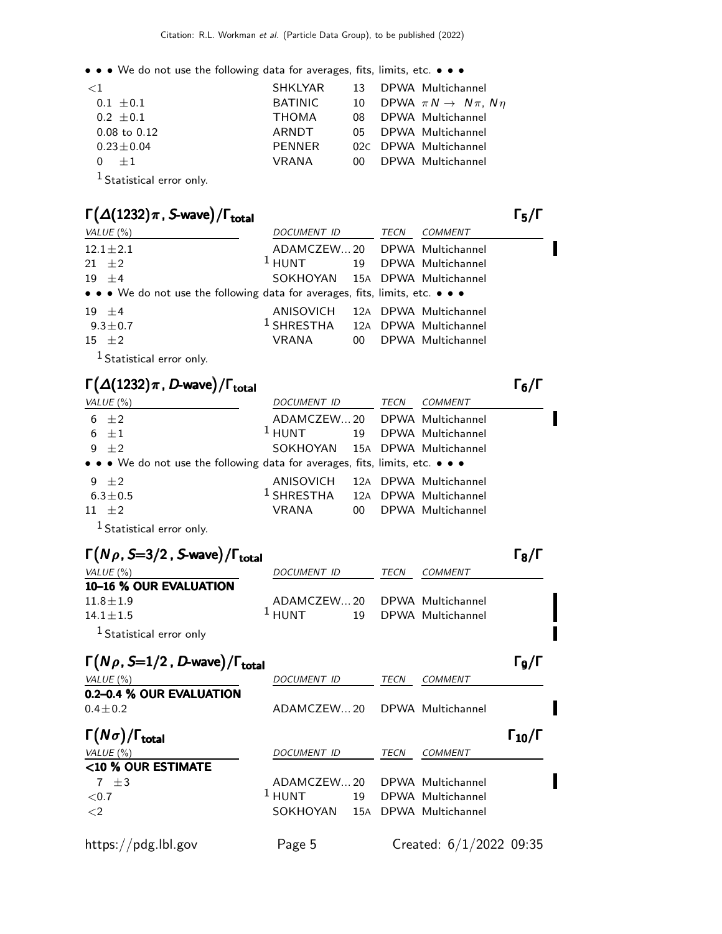• • • We do not use the following data for averages, fits, limits, etc. • • •

| ${<}1$                                       | SHKLYAR        | 13 DPWA Multichannel                         |
|----------------------------------------------|----------------|----------------------------------------------|
| $0.1 \pm 0.1$                                | <b>BATINIC</b> | 10 DPWA $\pi N \rightarrow N \pi$ , $N \eta$ |
| $0.2 \pm 0.1$                                | <b>THOMA</b>   | 08 DPWA Multichannel                         |
| $0.08$ to $0.12$                             | ARNDT          | 05 DPWA Multichannel                         |
| $0.23 \pm 0.04$                              | PENNER         | 02C DPWA Multichannel                        |
| $+1$                                         | <b>VRANA</b>   | 00 DPWA Multichannel                         |
| $1 - \cdot \cdot \cdot$ . The set of $\cdot$ |                |                                              |

1 Statistical error only.

### $\Gamma(\Delta(1232)\pi$  , S-wave) / $\Gamma_{\text{total}}$  (Γ

| VALUE (%)                                                                     | DOCUMENT ID                                 | TECN | <i>COMMENT</i>       |
|-------------------------------------------------------------------------------|---------------------------------------------|------|----------------------|
| $12.1 \pm 2.1$                                                                | ADAMCZEW20 DPWA Multichannel                |      |                      |
| 21 $\pm 2$                                                                    | $1$ HUNT                                    |      | 19 DPWA Multichannel |
| $19 \pm 4$                                                                    | SOKHOYAN 15A DPWA Multichannel              |      |                      |
| • • • We do not use the following data for averages, fits, limits, etc. • • • |                                             |      |                      |
| $19 + 4$                                                                      | ANISOVICH 12A DPWA Multichannel             |      |                      |
| $9.3 \pm 0.7$                                                                 | <sup>1</sup> SHRESTHA 12A DPWA Multichannel |      |                      |
| $15 \pm 2$                                                                    | VRANA                                       |      | 00 DPWA Multichannel |
| $1.6.$ $1.6.$                                                                 |                                             |      |                      |

1 Statistical error only.

#### $\Gamma(\Delta(1232)\pi$ , D-wave)/ $\Gamma_{\text{total}}$  (π

| VALUE $(\%)$                                                                  | DOCUMENT ID                                 |  | TECN COMMENT         |  |
|-------------------------------------------------------------------------------|---------------------------------------------|--|----------------------|--|
| 6 $\pm 2$                                                                     | ADAMCZEW20 DPWA Multichannel                |  |                      |  |
| 6 $\pm 1$                                                                     | <sup>1</sup> HUNT 19 DPWA Multichannel      |  |                      |  |
| 9 $\pm 2$                                                                     | SOKHOYAN 15A DPWA Multichannel              |  |                      |  |
| • • • We do not use the following data for averages, fits, limits, etc. • • • |                                             |  |                      |  |
| 9 $\pm 2$                                                                     | ANISOVICH 12A DPWA Multichannel             |  |                      |  |
| $6.3 \pm 0.5$                                                                 | <sup>1</sup> SHRESTHA 12A DPWA Multichannel |  |                      |  |
| $11 \pm 2$                                                                    | VRANA                                       |  | 00 DPWA Multichannel |  |
|                                                                               |                                             |  |                      |  |

1 Statistical error only.

| $\Gamma(N\rho, S=3/2, S$ -wave)/ $\Gamma_{\text{total}}$ |                                        |      |         | $\Gamma_8/\Gamma$ |
|----------------------------------------------------------|----------------------------------------|------|---------|-------------------|
| VALUE (%)                                                | DOCUMENT ID                            | TECN | COMMENT |                   |
| 10-16 % OUR EVALUATION                                   |                                        |      |         |                   |
| $11.8 \pm 1.9$                                           | ADAMCZEW20 DPWA Multichannel           |      |         |                   |
| $14.1 + 1.5$                                             | <sup>1</sup> HUNT 19 DPWA Multichannel |      |         |                   |
| <sup>1</sup> Statistical error only                      |                                        |      |         |                   |
|                                                          |                                        |      |         |                   |

| $\Gamma(N\rho, S=1/2, D$ -wave)/ $\Gamma_{\text{total}}$ |                    |             |                           | Го/Г                 |
|----------------------------------------------------------|--------------------|-------------|---------------------------|----------------------|
| VALUE $(\%)$                                             | <b>DOCUMENT ID</b> | <b>TECN</b> | <b>COMMENT</b>            |                      |
| 0.2-0.4 % OUR EVALUATION<br>$0.4 \pm 0.2$                | ADAMCZEW20         |             | DPWA Multichannel         |                      |
| $\Gamma(N\sigma)/\Gamma_{\rm total}$                     |                    |             |                           | $\Gamma_{10}/\Gamma$ |
| VALUE $(\% )$                                            | <b>DOCUMENT ID</b> | TECN        | <b>COMMENT</b>            |                      |
| <10 % OUR ESTIMATE                                       |                    |             |                           |                      |
| $7 + 3$                                                  | ADAMCZEW20         |             | DPWA Multichannel         |                      |
| ${<}0.7$                                                 | $1$ HUNT           |             | 19 DPWA Multichannel      |                      |
| $\langle 2$                                              | SOKHOYAN 15A       |             | DPWA Multichannel         |                      |
| https://pdg.lbl.gov                                      | Page 5             |             | Created: $6/1/2022$ 09:35 |                      |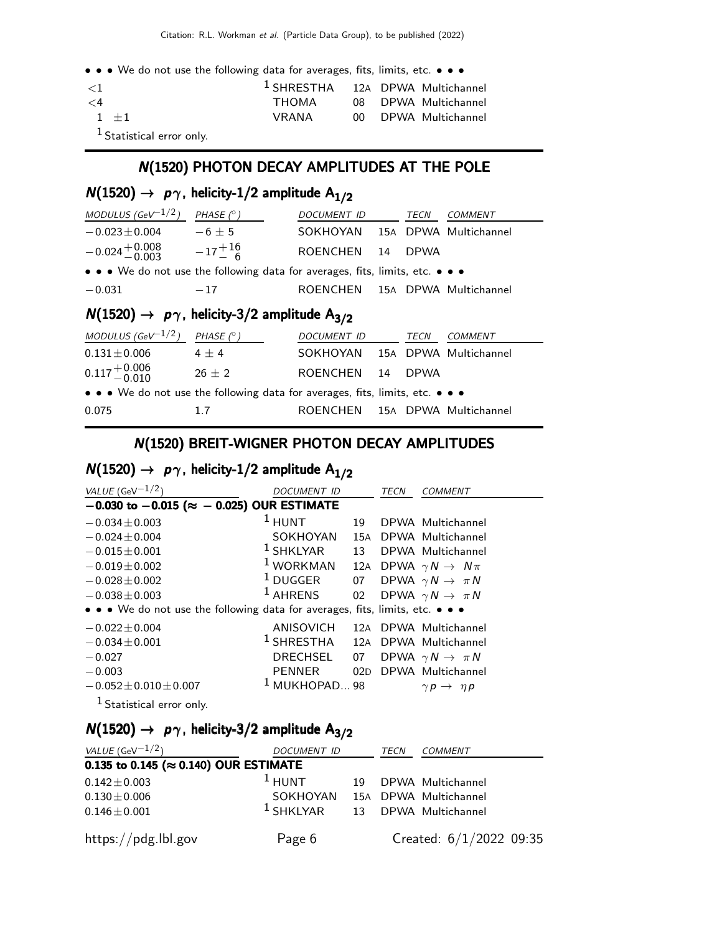• • • We do not use the following data for averages, fits, limits, etc. • • •

| $\leq$ 1                   | <sup>1</sup> SHRESTHA 12A DPWA Multichannel |  |                      |
|----------------------------|---------------------------------------------|--|----------------------|
| $\lt 4$                    | ТНОМА                                       |  | 08 DPWA Multichannel |
| $1 + 1$                    | VRANA                                       |  | 00 DPWA Multichannel |
| $1$ Ctatictical array only |                                             |  |                      |

#### Statistical error only.

#### N(1520) PHOTON DECAY AMPLITUDES AT THE POLE

# $N(1520) \rightarrow p\gamma$ , helicity-1/2 amplitude A<sub>1/2</sub>

| MODULUS (GeV <sup>-1/2</sup> )                                                | PHASE $(^\circ)$ | DOCUMENT ID                    |    | TECN        | COMMENT               |  |
|-------------------------------------------------------------------------------|------------------|--------------------------------|----|-------------|-----------------------|--|
| $-0.023 \pm 0.004$                                                            | $-6+5$           | SOKHOYAN 15A DPWA Multichannel |    |             |                       |  |
| $-0.024 + 0.008 -17 + 16$<br>-0.003 $-17 - 6$                                 |                  | <b>ROENCHEN</b>                | 14 | <b>DPWA</b> |                       |  |
| • • • We do not use the following data for averages, fits, limits, etc. • • • |                  |                                |    |             |                       |  |
| $-0.031$                                                                      | $-17$            | <b>ROENCHEN</b>                |    |             | 15A DPWA Multichannel |  |
| $N(1520) \rightarrow p\gamma$ , helicity-3/2 amplitude A <sub>3/2</sub>       |                  |                                |    |             |                       |  |
| MODULUS (GeV $^{-1/2}$ )                                                      | PHASE $(^\circ)$ | <b>DOCUMENT ID</b>             |    | <i>TECN</i> | <i>COMMENT</i>        |  |

|                                                                               | .        |                                |  |  |
|-------------------------------------------------------------------------------|----------|--------------------------------|--|--|
| $0.131 \pm 0.006$                                                             | $4 + 4$  | SOKHOYAN 15A DPWA Multichannel |  |  |
| $0.117 + 0.006$<br>$-0.010$                                                   | $26 + 2$ | ROENCHEN 14 DPWA               |  |  |
| • • • We do not use the following data for averages, fits, limits, etc. • • • |          |                                |  |  |
| 0.075                                                                         | 17       | ROENCHEN 15A DPWA Multichannel |  |  |

## N(1520) BREIT-WIGNER PHOTON DECAY AMPLITUDES

# $N(1520) \rightarrow p\gamma$ , helicity-1/2 amplitude  $A_{1/2}$

| VALUE (GeV $^{-1/2}$ )                                                        | DOCUMENT ID     |     | TECN | <b>COMMENT</b>                        |
|-------------------------------------------------------------------------------|-----------------|-----|------|---------------------------------------|
| $-0.030$ to $-0.015$ ( $\approx -0.025$ ) OUR ESTIMATE                        |                 |     |      |                                       |
| $-0.034 \pm 0.003$                                                            | $1$ HUNT        | 19  |      | DPWA Multichannel                     |
| $-0.024 + 0.004$                                                              | SOKHOYAN        | 15A |      | DPWA Multichannel                     |
| $-0.015 \pm 0.001$                                                            | $1$ SHKLYAR     | 13  |      | DPWA Multichannel                     |
| $-0.019 \pm 0.002$                                                            | $1$ WORKMAN     |     |      | 12A DPWA $\gamma N \rightarrow N \pi$ |
| $-0.028 + 0.002$                                                              | $1$ DUGGER      |     |      | 07 DPWA $\gamma N \to \pi N$          |
| $-0.038 \pm 0.003$                                                            | $1$ AHRENS      | 02  |      | DPWA $\gamma N \rightarrow \pi N$     |
| • • • We do not use the following data for averages, fits, limits, etc. • • • |                 |     |      |                                       |
| $-0.022 \pm 0.004$                                                            | ANISOVICH       |     |      | 12A DPWA Multichannel                 |
| $-0.034 \pm 0.001$                                                            | $^1$ SHRESTHA   | 12A |      | DPWA Multichannel                     |
| $-0.027$                                                                      | DRECHSEL        | 07  |      | DPWA $\gamma N \rightarrow \pi N$     |
| $-0.003$                                                                      | PENNER          |     |      | 02D DPWA Multichannel                 |
| $-0.052 \pm 0.010 \pm 0.007$                                                  | $1$ MUKHOPAD 98 |     |      | $\gamma p \rightarrow \eta p$         |
| <sup>1</sup> Statistical error only.                                          |                 |     |      |                                       |

# $N(1520) \rightarrow p\gamma$ , helicity-3/2 amplitude A<sub>3/2</sub>

| <i>VALUE</i> (GeV $-1/2$ )                     | DOCUMENT ID                               |    | TECN | <b>COMMENT</b>            |  |
|------------------------------------------------|-------------------------------------------|----|------|---------------------------|--|
| 0.135 to 0.145 ( $\approx$ 0.140) OUR ESTIMATE |                                           |    |      |                           |  |
| $0.142 \pm 0.003$                              | $1$ HUNT                                  | 19 |      | DPWA Multichannel         |  |
| $0.130 \pm 0.006$                              | SOKHOYAN                                  |    |      | 15A DPWA Multichannel     |  |
| $0.146 \pm 0.001$                              | <sup>1</sup> SHKLYAR 13 DPWA Multichannel |    |      |                           |  |
| https://pdg.lbl.gov                            | Page 6                                    |    |      | Created: $6/1/2022$ 09:35 |  |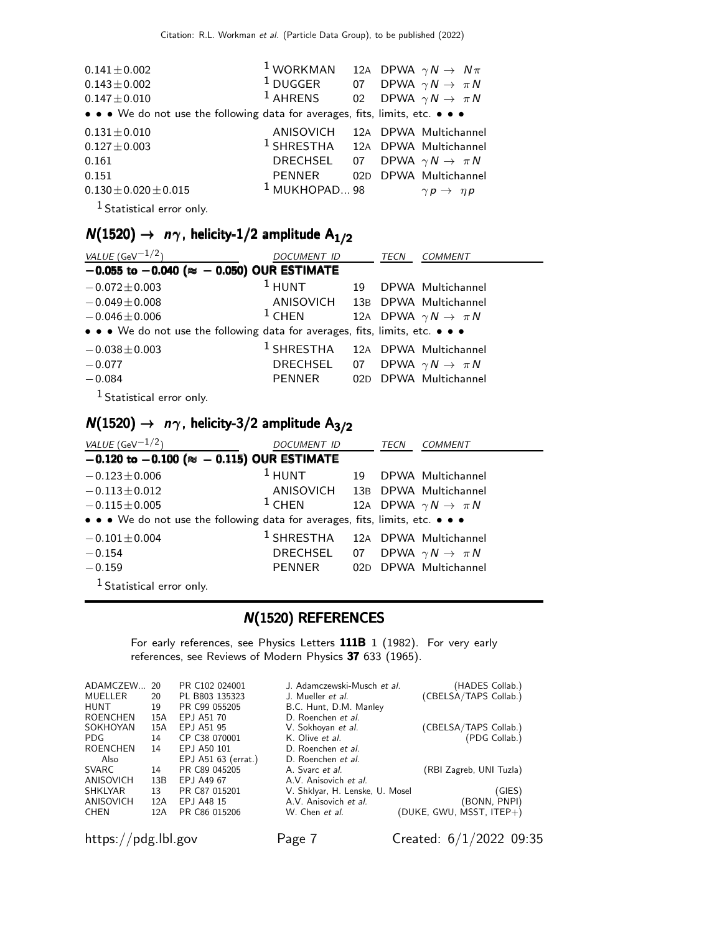| $0.141 \pm 0.002$<br>$0.143 \pm 0.002$<br>$0.147 \pm 0.010$                   | <sup>1</sup> WORKMAN 12A DPWA $\gamma N \rightarrow N\pi$<br><sup>1</sup> DUGGER 07 DPWA $\gamma N \to \pi N$<br>$1$ AHRENS |  | 02 DPWA $\gamma N \rightarrow \pi N$ |
|-------------------------------------------------------------------------------|-----------------------------------------------------------------------------------------------------------------------------|--|--------------------------------------|
| • • • We do not use the following data for averages, fits, limits, etc. • • • |                                                                                                                             |  |                                      |
| $0.131 \pm 0.010$                                                             | ANISOVICH                                                                                                                   |  | 12A DPWA Multichannel                |
| $0.127 \pm 0.003$                                                             | $1$ SHRESTHA $12A$ DPWA Multichannel                                                                                        |  |                                      |
| 0.161                                                                         | DRECHSEL 07 DPWA $\gamma N \to \pi N$                                                                                       |  |                                      |
| 0.151                                                                         | PENNER                                                                                                                      |  | 02D DPWA Multichannel                |
| $0.130 \pm 0.020 \pm 0.015$                                                   | $1$ MUKHOPAD 98                                                                                                             |  | $\gamma p \rightarrow \eta p$        |
| $1$ Statistical error only.                                                   |                                                                                                                             |  |                                      |

 $N(1520) \rightarrow n\gamma$ , helicity-1/2 amplitude A<sub>1/2</sub>

| VALUE (GeV $^{-1/2}$ )                                                        | <i>DOCUMENT ID</i>                          |  | <b>TECN</b> | <b>COMMENT</b>                        |  |  |  |
|-------------------------------------------------------------------------------|---------------------------------------------|--|-------------|---------------------------------------|--|--|--|
| $-0.055$ to $-0.040$ ( $\approx -0.050$ ) OUR ESTIMATE                        |                                             |  |             |                                       |  |  |  |
| $-0.072 \pm 0.003$                                                            | $1$ HUNT                                    |  |             | 19 DPWA Multichannel                  |  |  |  |
| $-0.049 \pm 0.008$                                                            | ANISOVICH 13B DPWA Multichannel             |  |             |                                       |  |  |  |
| $-0.046 \pm 0.006$                                                            | $1$ CHEN                                    |  |             | 12A DPWA $\gamma N \rightarrow \pi N$ |  |  |  |
| • • • We do not use the following data for averages, fits, limits, etc. • • • |                                             |  |             |                                       |  |  |  |
| $-0.038 \pm 0.003$                                                            | <sup>1</sup> SHRESTHA 12A DPWA Multichannel |  |             |                                       |  |  |  |
| $-0.077$                                                                      | DRECHSEL 07 DPWA $\gamma N \to \pi N$       |  |             |                                       |  |  |  |
| $-0.084$                                                                      | PENNER                                      |  |             | 02D DPWA Multichannel                 |  |  |  |
| $1$ $\sigma_{\text{total}}$ . The same set of $\sigma$                        |                                             |  |             |                                       |  |  |  |

Statistical error only.

# $N(1520) \rightarrow n\gamma$ , helicity-3/2 amplitude A<sub>3/2</sub>

| VALUE (GeV $^{-1/2}$ )                                                        | <i>DOCUMENT ID</i>                          |    | TECN | <b>COMMENT</b>                        |  |  |  |
|-------------------------------------------------------------------------------|---------------------------------------------|----|------|---------------------------------------|--|--|--|
| $-0.120$ to $-0.100$ ( $\approx -0.115$ ) OUR ESTIMATE                        |                                             |    |      |                                       |  |  |  |
| $-0.123 \pm 0.006$                                                            | $1$ HUNT                                    | 19 |      | DPWA Multichannel                     |  |  |  |
| $-0.113 \pm 0.012$                                                            | ANISOVICH 13B DPWA Multichannel             |    |      |                                       |  |  |  |
| $-0.115 \pm 0.005$                                                            | $1$ CHEN                                    |    |      | 12A DPWA $\gamma N \rightarrow \pi N$ |  |  |  |
| • • • We do not use the following data for averages, fits, limits, etc. • • • |                                             |    |      |                                       |  |  |  |
| $-0.101 \pm 0.004$                                                            | <sup>1</sup> SHRESTHA 12A DPWA Multichannel |    |      |                                       |  |  |  |
| $-0.154$                                                                      | DRECHSEL 07                                 |    |      | DPWA $\gamma N \rightarrow \pi N$     |  |  |  |
| $-0.159$                                                                      | PENNER                                      |    |      | 02D DPWA Multichannel                 |  |  |  |
| <sup>1</sup> Statistical error only.                                          |                                             |    |      |                                       |  |  |  |

#### N(1520) REFERENCES

For early references, see Physics Letters 111B 1 (1982). For very early references, see Reviews of Modern Physics 37 633 (1965).

| 20  | PR C102 024001      | J. Adamczewski-Musch et al.     | (HADES Collab.)          |
|-----|---------------------|---------------------------------|--------------------------|
| 20  | PL B803 135323      | J. Mueller et al.               | (CBELSA/TAPS Collab.)    |
| 19  | PR C99 055205       | B.C. Hunt, D.M. Manley          |                          |
| 15A | EPJ A51 70          | D. Roenchen et al.              |                          |
| 15A | EPJ A51 95          | V. Sokhoyan et al.              | (CBELSA/TAPS Collab.)    |
| 14  | CP C38 070001       | K. Olive et al.                 | (PDG Collab.)            |
| 14  | EPJ A50 101         | D. Roenchen et al.              |                          |
|     | EPJ A51 63 (errat.) | D. Roenchen et al.              |                          |
| 14  | PR C89 045205       | A. Svarc et al.                 | (RBI Zagreb, UNI Tuzla)  |
| 13B | EPJ A49 67          | A.V. Anisovich et al.           |                          |
| 13  | PR C87 015201       | V. Shklyar, H. Lenske, U. Mosel | (GIES)                   |
| 12A | EPJ A48 15          | A.V. Anisovich et al.           | (BONN, PNPI)             |
| 12A | PR C86 015206       | W. Chen et al.                  | (DUKE, GWU, MSST, ITEP+) |
|     |                     |                                 |                          |

https://pdg.lbl.gov Page 7 Created: 6/1/2022 09:35